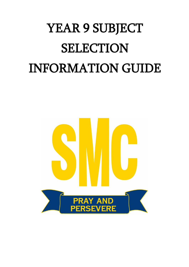# YEAR 9 SUBJECT SELECTION INFORMATION GUIDE

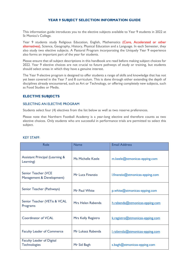# **YEAR 9 SUBJECT SELECTION INFORMATION GUIDE**

This information guide introduces you to the elective subjects available to Year 9 students in 2022 at St Monica's College.

Year 9 students study Religious Education, English, Mathematics (Core, Accelerated or other alternatives), Science, Geography, History, Physical Education and a Language. In each Semester, they also study two elective subjects. A Pastoral Program incorporating the Uniquely Year 9 experience also forms an important part of the year for students.

Please ensure that all subject descriptions in this handbook are read before making subject choices for 2022. Year 9 elective choices are not crucial to future pathways of study or training, but students should select areas in which they have a genuine interest.

The Year 9 elective program is designed to offer students a range of skills and knowledge that has not yet been covered in the Year 7 and 8 curriculum. This is done through either extending the depth of disciplines already encountered, such as Art or Technology, or offering completely new subjects, such as Food Studies or Media.

# **ELECTIVE SUBJECTS**

## SELECTING AN ELECTIVE PROGRAM

Students select four (4) electives from the list below as well as two reserve preferences.

Please note that Northern Football Academy is a year-long elective and therefore counts as two elective choices. Only students who are successful in performance trials are permitted to select this subject.

| Role                                                    | <b>Name</b>        | <b>Email Address</b>            |
|---------------------------------------------------------|--------------------|---------------------------------|
| Assistant Principal (Learning &<br>Learning)            | Ms Michelle Keele  | m.keele@stmonicas-epping.com    |
| Senior Teacher (VCE<br>Management & Development)        | Mr Luca Finanzio   | l.finanzio@stmonicas-epping.com |
| Senior Teacher (Pathways)                               | Mr Paul White      | p.white@stmonicas-epping.com    |
| Senior Teacher (VETis & VCAL<br>Programs                | Mrs Helen Rabenda  | h.rabenda@stmonicas-epping.com  |
| <b>Coordinator of VCAL</b>                              | Mrs Kelly Registro | k.registro@stmonicas-epping.com |
| <b>Faculty Leader of Commerce</b>                       | Mr Lukasz Rabenda  | I.rabenda@stmonicas-epping.com  |
| <b>Faculty Leader of Digital</b><br><b>Technologies</b> | Mr Sid Bagh        | s.bagh@stmonicas-epping.com     |

## KEY STAFF: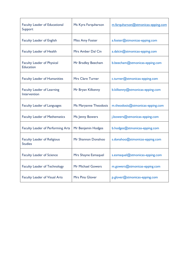| <b>Faculty Leader of Educational</b><br>Support       | Ms Kyra Farquharson      | m.farquharson@stmonicas-epping.com |
|-------------------------------------------------------|--------------------------|------------------------------------|
| <b>Faculty Leader of English</b>                      | <b>Miss Amy Foster</b>   | a.foster@stmonicas-epping.com      |
| <b>Faculty Leader of Health</b>                       | Mrs Amber Dal Cin        | a.dalcin@stmonicas-epping.com      |
| <b>Faculty Leader of Physical</b><br><b>Education</b> | Mr Bradley Beecham       | b.beecham@stmonicas-epping.com     |
| <b>Faculty Leader of Humanities</b>                   | Mrs Clare Turner         | c.turner@stmonicas-epping.com      |
| <b>Faculty Leader of Learning</b><br>Intervention     | Mr Bryan Kilkenny        | b.kilkenny@stmonicas-epping.com    |
| <b>Faculty Leader of Languages</b>                    | Ms Maryanne Theodosis    | m.theodosis@stmonicas-epping.com   |
| <b>Faculty Leader of Mathematics</b>                  | Ms Jenny Bowers          | j.bowers@stmonicas-epping.com      |
| <b>Faculty Leader of Performing Arts</b>              | Mr Benjamin Hodges       | b.hodges@stmonicas-epping.com      |
| <b>Faculty Leader of Religious</b><br><b>Studies</b>  | Mr Shannon Donahoo       | s.donahoo@stmonicas-epping.com     |
| <b>Faculty Leader of Science</b>                      | Mrs Shayne Esmaquel      | s.esmaquel@stmonicas-epping.com    |
| <b>Faculty Leader of Technology</b>                   | <b>Mr Michael Gowers</b> | m.gowers@stmonicas-epping.com      |
| <b>Faculty Leader of Visual Arts</b>                  | Mrs Pina Glover          | p.glover@stmonicas-epping.com      |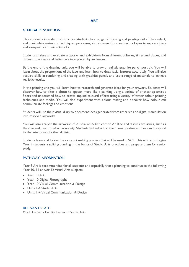# **ART**

## GENERAL DESCRIPTION

This course is intended to introduce students to a range of drawing and painting skills. They select, and manipulate materials, techniques, processes, visual conventions and technologies to express ideas and viewpoints in their artworks.

Students analyse and evaluate artworks and exhibitions from different cultures, times and places, and discuss how ideas and beliefs are interpreted by audiences.

By the end of the drawing unit, you will be able to draw a realistic graphite pencil portrait. You will learn about the proportions of the face, and learn how to draw facial features accurately. You will also acquire skills in rendering and shading with graphite pencil, and use a range of materials to achieve realistic results.

In the painting unit you will learn how to research and generate ideas for your artwork. Students will discover how to alter a photo to appear more like a painting using a variety of photoshop artistic filters and understand how to create implied textural effects using a variety of water colour painting techniques and media. You will also experiment with colour mixing and discover how colour can communicate feelings and emotions

Students will use their visual diary to document ideas generated from research and digital manipulation into resolved artworks.

You will also analyse the artworks of Australian Artist Vernon Ah Kee and discuss art issues, such as the role and function of art in society. Students will reflect on their own creative art ideas and respond to the intentions of other Artists.

Students learn and follow the same art making process that will be used in VCE. This unit aims to give Year 9 students a solid grounding in the basics of Studio Arts practices and prepare them for senior study.

# PATHWAY INFORMATION

Year 9 Art is recommended for all students and especially those planning to continue to the following Year 10, 11 and/or 12 Visual Arts subjects:

- Year 10 Art
- Year 10 Digital Photography
- Year 10 Visual Communication & Design
- Units 1-4 Studio Arts
- Units 1-4 Visual Communication & Design

## RELEVANT STAFF

Mrs P Glover - Faculty Leader of Visual Arts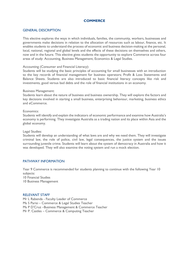# **COMMERCE**

## GENERAL DESCRIPTION

This elective explores the ways in which individuals, families, the community, workers, businesses and governments make decisions in relation to the allocation of resources such as labour, finance, etc. It enables students to understand the process of economic and business decision-making at the personal, local, national, regional and global levels and the effects of these decisions on themselves and others, now and in the future. This elective gives students the opportunity to explore Commerce across four areas of study: Accounting, Business Management, Economics & Legal Studies.

#### Accounting (Consumer and Financial Literacy):

Students will be studying the basic principles of accounting for small businesses with an introduction to the key records of financial management for business operators; Profit & Loss Statements and Balance Sheets. Students are also introduced to basic financial literacy concepts like risk and investments, good versus bad debts and the role of financial institutions in an economy.

#### Business Management:

Students learn about the nature of business and business ownership. They will explore the factors and key decisions involved in starting a small business, enterprising behaviour, marketing, business ethics and eCommerce.

Economics:

Students will identify and explain the indicators of economic performance and examine how Australia's economy is performing. They investigate Australia as a trading nation and its place within Asia and the global economy.

Legal Studies:

Students will develop an understanding of what laws are and why we need them. They will investigate criminal law, the role of police, civil law, legal consequences, the justice system and the issues surrounding juvenile crime. Students will learn about the system of democracy in Australia and how it was developed. They will also examine the voting system and run a mock election.

## PATHWAY INFORMATION

Year 9 Commerce is recommended for students planning to continue with the following Year 10 subjects: 10 Financial Studies 10 Business Management

#### RELEVANT STAFF

Mr L Rabenda - Faculty Leader of Commerce Ms S Parisi – Commerce & Legal Studies Teacher Ms P D'Cruz –Business Management & Commerce Teacher Mr P. Castles – Commerce & Computing Teacher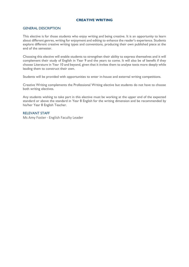# **CREATIVE WRITING**

## GENERAL DESCRIPTION

This elective is for those students who enjoy writing and being creative. It is an opportunity to learn about different genres, writing for enjoyment and editing to enhance the reader's experience. Students explore different creative writing types and conventions, producing their own published piece at the end of the semester.

Choosing this elective will enable students to strengthen their ability to express themselves and it will complement their study of English in Year 9 and the years to come. It will also be of benefit if they choose Literature in Year 10 and beyond, given that it invites them to analyse texts more deeply while leading them to construct their own.

Students will be provided with opportunities to enter in-house and external writing competitions.

Creative Writing complements the Professional Writing elective but students do not have to choose both writing electives.

Any students wishing to take part in this elective must be working at the upper end of the expected standard or above the standard in Year 8 English for the writing dimension and be recommended by his/her Year 8 English Teacher.

# RELEVANT STAFF

Ms Amy Foster - English Faculty Leader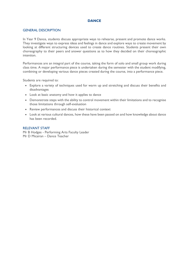# **DANCE**

# GENERAL DESCRIPTION

In Year 9 Dance, students discuss appropriate ways to rehearse, present and promote dance works. They investigate ways to express ideas and feelings in dance and explore ways to create movement by looking at different structuring devices used to create dance routines. Students present their own choreography to their peers and answer questions as to how they decided on their choreographic intention.

Performances are an integral part of the course, taking the form of solo and small group work during class time. A major performance piece is undertaken during the semester with the student modifying, combining or developing various dance pieces created during the course, into a performance piece.

Students are required to:

- Explore a variety of techniques used for warm up and stretching and discuss their benefits and disadvantages
- Look at basic anatomy and how it applies to dance
- Demonstrate steps with the ability to control movement within their limitations and to recognise those limitations through self-evaluation
- Review performances and discuss their historical context
- Look at various cultural dances, how these have been passed on and how knowledge about dance has been recorded.

#### RELEVANT STAFF

Mr B Hodges - Performing Arts Faculty Leader Mr D Micairan – Dance Teacher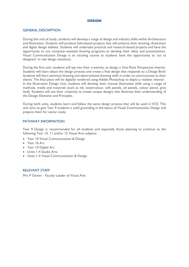# **DESIGN**

## GENERAL DESCRIPTION

During this unit of study, students will develop a range of design and industry skills within Architecture and Illustration. Students will produce folio-based projects that will enhance their drawing, illustration and digital design abilities. Students will undertake practical and research-based projects and have the opportunity to use computer-assisted drawing programs to develop their ideas and presentations. Visual Communication Design is an exciting course as students have the opportunity to 'act as designers' in real design situations.

During the first unit, students will tap into their creativity, to design a One Point Perspective interior. Students will learn about the design process and create a final design that responds to a Design Brief. Students will learn technical drawing and observational drawing skills in order to communicate to their clients. The final piece will be digitally rendered using Adobe Photoshop to depict a realistic interior. In the Illustration Design Unit, students will develop their manual illustration skills using a range of methods, media and materials (such as ink, watercolour, soft pastels, oil pastels, colour pencil, grey lead). Students will use their creativity to create unique designs that illustrate their understanding of the Design Elements and Principles.

During both units, students learn and follow the same design process that will be used in VCE. This unit aims to give Year 9 students a solid grounding in the basics of Visual Communication Design and prepare them for senior study.

## PATHWAY INFORMATION

Year 9 Design is recommended for all students and especially those planning to continue to the following Year 10, 11 and/or 12 Visual Arts subjects:

- Year 10 Visual Communication & Design
- Year 10 Art
- Year 10 Digital Art
- Units 1-4 Studio Arts
- Units 1-4 Visual Communication & Design

## RELEVANT STAFF

Mrs P Glover - Faculty Leader of Visual Arts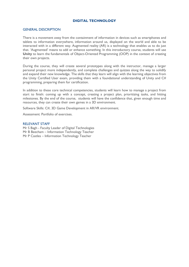# **DIGITAL TECHNOLOGY**

#### GENERAL DESCRIPTION

There is a movement away from the containment of information in devices such as smartphones and tablets to information everywhere, information around us, displayed on the world and able to be interacted with in a different way. Augmented reality (AR) is a technology that enables us to do just that. 'Augmented' means to add or enhance something. In this introductory course, students will use **Unity** to learn the fundamentals of Object-Oriented Programming (OOP) in the context of creating their own projects.

During the course, they will create several prototypes along with the instructor, manage a larger personal project more independently, and complete challenges and quizzes along the way to solidify and expand their new knowledge. The skills that they learn will align with the learning objectives from the Unity Certified User exam, providing them with a foundational understanding of Unity and C# programming, preparing them for certification.

In addition to these core technical competencies, students will learn how to manage a project from start to finish: coming up with a concept, creating a project plan, prioritizing tasks, and hitting milestones. By the end of the course, students will have the confidence that, given enough time and resources, they can create their own games in a 3D environment.

Software Skills: C#, 3D Game Development in AR/VR environment.

Assessment: Portfolio of exercises.

#### RELEVANT STAFF

Mr S Bagh - Faculty Leader of Digital Technologies Mr B Beecham – Information Technology Teacher Mr P Castles – Information Technology Teacher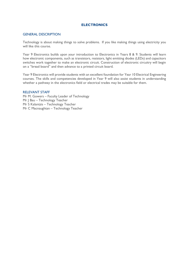# **ELECTRONICS**

## GENERAL DESCRIPTION

Technology is about making things to solve problems. If you like making things using electricity you will like this course.

Year 9 Electronics builds upon your introduction to Electronics in Years 8 & 9. Students will learn how electronic components, such as transistors, resistors, light emitting diodes (LEDs) and capacitors switches work together to make an electronic circuit. Construction of electronic circuitry will begin on a "bread board" and then advance to a printed circuit board.

Year 9 Electronics will provide students with an excellent foundation for Year 10 Electrical Engineering courses. The skills and competencies developed in Year 9 will also assist students in understanding whether a pathway in the electronics field or electrical trades may be suitable for them.

## RELEVANT STAFF

Mr M. Gowers – Faculty Leader of Technology Mr J Bau – Technology Teacher Mr S Kalantzis – Technology Teacher Mr C Macnaughtan – Technology Teacher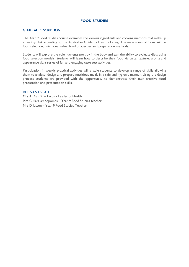# **FOOD STUDIES**

## GENERAL DESCRIPTION

The Year 9 Food Studies course examines the various ingredients and cooking methods that make up a healthy diet according to the Australian Guide to Healthy Eating. The main areas of focus will be food selection, nutritional value, food properties and preparation methods.

Students will explore the role nutrients portray in the body and gain the ability to evaluate diets using food selection models. Students will learn how to describe their food via taste, texture, aroma and appearance via a series of fun and engaging taste test activities.

Participation in weekly practical activities will enable students to develop a range of skills allowing them to analyse, design and prepare nutritious meals in a safe and hygienic manner. Using the design process students are provided with the opportunity to demonstrate their own creative food preparation and presentation skills.

## RELEVANT STAFF

Mrs A Dal Cin – Faculty Leader of Health Mrs C Haralambopoulos – Year 9 Food Studies teacher Mrs D Jutson – Year 9 Food Studies Teacher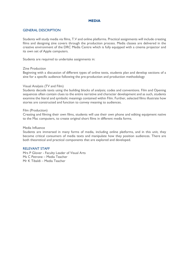## **MEDIA**

#### GENERAL DESCRIPTION

Students will study media via films, T.V and online platforms. Practical assignments will include creating films and designing zine covers through the production process. Media classes are delivered in the creative environment of the DRC Media Centre which is fully equipped with a cinema projector and its own set of Apple computers.

Students are required to undertake assignments in:

#### Zine Production

Beginning with a discussion of different types of online texts, students plan and develop sections of a zine for a specific audience following the pre-production and production methodology

#### Visual Analysis (TV and Film)

Students decode texts using the building blocks of analysis; codes and conventions. Film and Opening sequences often contain clues to the entire narrative and character development and as such, students examine the literal and symbolic meanings contained within Film. Further, selected films illustrate how stories are constructed and function to convey meaning to audiences.

#### Film (Production)

Creating and filming their own films, students will use their own phone and editing equipment native to the Mac computers, to create original short films in different media forms.

#### Media Influence

Students are immersed in many forms of media, including online platforms, and in this unit, they become critical consumers of media texts and manipulate how they position audiences. There are both theoretical and practical components that are explored and developed.

#### RELEVANT STAFF

Mrs P Glover - Faculty Leader of Visual Arts Ms C Petrone – Media Teacher Mr K Tibaldi – Media Teacher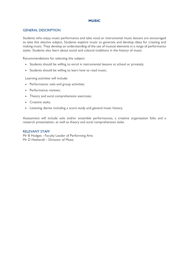# **MUSIC**

## GENERAL DESCRIPTION

Students who enjoy music performance and take vocal or instrumental music lessons are encouraged to take this elective subject. Students explore music to generate and develop ideas for creating and making music. They develop an understanding of the use of musical elements in a range of performance styles. Students also learn about social and cultural traditions in the history of music.

Recommendations for selecting this subject:

- Students should be willing to enrol in instrumental lessons at school or privately;
- Students should be willing to learn how to read music;

Learning activities will include:

- Performance: solo and group activities;
- Performance reviews;
- Theory and aural comprehension exercises;
- Creative tasks;
- Listening diaries including a score study and general music history.

Assessment will include solo and/or ensemble performances, a creative organisation folio and a research presentation, as well as theory and aural comprehension tasks.

# RELEVANT STAFF

Mr B Hodges - Faculty Leader of Performing Arts Mr D Hatherell – Director of Music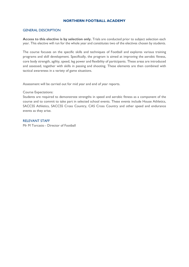# **NORTHERN FOOTBALL ACADEMY**

## GENERAL DESCRIPTION

**Access to this elective is by selection only.** Trials are conducted prior to subject selection each year. This elective will run for the whole year and constitutes two of the electives chosen by students.

The course focuses on the specific skills and techniques of Football and explores various training programs and skill development. Specifically, the program is aimed at improving the aerobic fitness, core body strength, agility, speed, leg power and flexibility of participants. These areas are introduced and assessed, together with skills in passing and shooting. These elements are then combined with tactical awareness in a variety of game situations.

Assessment will be carried out for mid year and end of year reports.

## Course Expectations:

Students are required to demonstrate strengths in speed and aerobic fitness as a component of the course and to commit to take part in selected school events. These events include House Athletics, SACCSS Athletics, SACCSS Cross Country, CAS Cross Country and other speed and endurance events as they arise.

# RELEVANT STAFF

Mr M Torcasio - Director of Football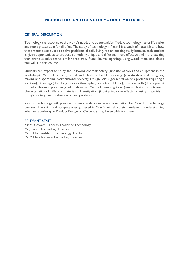# **PRODUCT DESIGN TECHNOLOGY – MULTI MATERIALS**

#### GENERAL DESCRIPTION

Technology is a response to the world's needs and opportunities. Today, technology makes life easier and more pleasurable for all of us. The study of technology in Year 9 is a study of materials and how these materials are used to solve problems of daily living. It is an exciting study because each student is given opportunities to produce something unique and different, more effective and more exciting than previous solutions to similar problems. If you like making things using wood, metal and plastic you will like this course.

Students can expect to study the following content: Safety (safe use of tools and equipment in the workshop); Materials (wood, metal and plastics); Problem-solving (investigating and designing, making and appraising 3-dimensional objects); Design Briefs (presentation of a problem requiring a solution); Drawings (sketching ideas -orthographic, isometric, oblique); Practical skills (development of skills through processing of materials); Materials investigation (simple tests to determine characteristics of different materials); Investigation (inquiry into the effects of using materials in today's society) and Evaluation of final products.

Year 9 Technology will provide students with an excellent foundation for Year 10 Technology courses. The skills and competencies gathered in Year 9 will also assist students in understanding whether a pathway in Product Design or Carpentry may be suitable for them.

#### RELEVANT STAFF

Mr M. Gowers – Faculty Leader of Technology Mr J Bau – Technology Teacher Mr C Macnaughtan – Technology Teacher Mr M Moorhouse – Technology Teacher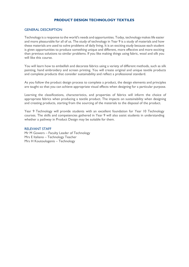# **PRODUCT DESIGN TECHNOLOGY TEXTILES**

# GENERAL DESCRIPTION

Technology is a response to the world's needs and opportunities. Today, technology makes life easier and more pleasurable for all of us. The study of technology in Year 9 is a study of materials and how these materials are used to solve problems of daily living. It is an exciting study because each student is given opportunities to produce something unique and different, more effective and more exciting than previous solutions to similar problems. If you like making things using fabric, wool and silk you will like this course.

You will learn how to embellish and decorate fabrics using a variety of different methods, such as silk painting, hand embroidery and screen printing. You will create original and unique textile products and complete products that consider sustainability and reflect a professional standard.

As you follow the product design process to complete a product, the design elements and principles are taught so that you can achieve appropriate visual effects when designing for a particular purpose.

Learning the classifications, characteristics, and properties of fabrics will inform the choice of appropriate fabrics when producing a textile product. The impacts on sustainability when designing and creating products, starting from the sourcing of the materials to the disposal of the product.

Year 9 Technology will provide students with an excellent foundation for Year 10 Technology courses. The skills and competencies gathered in Year 9 will also assist students in understanding whether a pathway in Product Design may be suitable for them.

#### RELEVANT STAFF

Mr M Gowers – Faculty Leader of Technology Mrs E Italiano – Technology Teacher Mrs H Koutoulogenis – Technology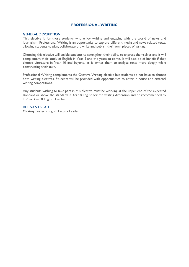## **PROFESSIONAL WRITING**

## GENERAL DESCRIPTION

This elective is for those students who enjoy writing and engaging with the world of news and journalism. Professional Writing is an opportunity to explore different media and news related texts, allowing students to plan, collaborate on, write and publish their own pieces of writing.

Choosing this elective will enable students to strengthen their ability to express themselves and it will complement their study of English in Year 9 and the years to come. It will also be of benefit if they choose Literature in Year 10 and beyond, as it invites them to analyse texts more deeply while constructing their own.

Professional Writing complements the Creative Writing elective but students do not have to choose both writing electives. Students will be provided with opportunities to enter in-house and external writing competitions.

Any students wishing to take part in this elective must be working at the upper end of the expected standard or above the standard in Year 8 English for the writing dimension and be recommended by his/her Year 8 English Teacher.

# RELEVANT STAFF

Ms Amy Foster - English Faculty Leader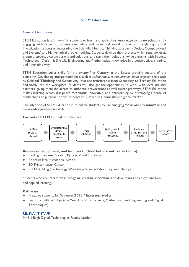# **STEM Education**

# General Description

STEM Education is a fun way for students to learn and apply their knowledge to create solutions. By engaging with projects, students can define and solve real world problems through inquiry and investigation processes, integrating the Scientific Method, Thinking approach (Design, Computational and Systems) and Mathematical problem-solving. Students develop their projects which *generate ideas,*  create *prototype, evaluate* designs and solutions, and *share* their solutions, while engaging with Science, Technology (Design & Digital), Engineering and Mathematical knowledge in a constructive, creative, and innovative way.

STEM Education builds skills for the twenty-first Century in the fastest growing sectors of the economy. Developing interpersonal skills such as *collaboration*, *communication*, *meta-cognition* skills such as **Critical Thinking** and **Creativity**, that are transferable from Secondary to Tertiary Education and finally into the workplace. Students will also get the opportunity to work with local industry partners, giving them the access to authentic provocations as well career pathways. STEM Education makes learning across disciplines meaningful, innovative, and enterprising by developing a sense of confidence and purpose for the students to succeed in a domestic and global market.

The intention of STEM Education is to enable students to use *emerging technologies* to **innovate** and learn **entrepreneurial** skills.

## **Format of STEM Education Elective**



# **Resources, equipment, and facilities (include but are not restricted to)**

- Coding programs: Scratch, Python, Visual Studio, etc.
- Robotics kits, Micro: bits, Air: bit
- **3D Printer, Laser Cutter**
- STEM Building (Technology Workshop, Science Laboratory and Library)

Students who are interested in designing, creating, innovating, and developing and enjoy hands-on and applied learning.

## **Pathways**

- Prepares students for Semester 2 STEM Integrated Studies.
- Leads to multiple Subjects in Year 11 and 12 (Science, Mathematics and Engineering and Digital Technologies).

## RELEVANT STAFF

Mr Sid Bagh Digital Technologies Faculty Leader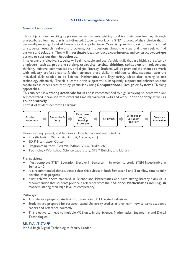# **STEM - Investigative Studies**

# General Description

This subject offers exciting opportunities to students wishing to drive their own learning through project-based learning that is self-directed. Students work on a STEM project of their choice that is personally meaningful and addresses a local or global issue. **Creativity** and **innovation** are promoted as students research real-world problems, form questions about the issue and then seek to find answers and solutions. They will **investigate** ideas, conduct **experiments**, and construct **prototype** designs to **test** out their **hypotheses**.

In selecting this elective, students will gain valuable and transferable skills that are highly sort after by employers, such as, **problem-solving**, **creativity**, **critical thinking**, **collaboration**, independent thinking, initiative, communication, and digital literacy. Students will be provided the chance to work with industry professionals to further enhance these skills. In addition to this, students learn the individual skills needed to do Science, Mathematics, and Engineering, whilst also learning to use technology effectively. The skills learnt in this subject will subsequently support and enhance student capabilities in other areas of study, particularly using **Computational**, **Design** or **Systems** Thinking approaches.

This subject has a **strong academic focus** and is recommended to high achieving students who are self-motivated, organised with excellent time management skills and work **independently** as well as **collaboratively**.

Format of student-centered Learning:



Resources, equipment, and facilities include but are not restricted to:

- Kits (Robotics, Micro: bits, Air: bit, Circuits, etc.)
- 3D Printer, Laser Cutter
- Programming tools (Scratch, Python, Visual Studio, etc.)
- Technology Workshop, Science Laboratory, STEM Building and Library

Prerequisites:

- Must complete STEM Education Elective in Semester 1 in order to study STEM Investigative in Semester 2.
- It is recommended that students select this subject in both Semester 1 and 2 to allow time to fully develop their projects.
- Must achieve above standard in Science and Mathematics and have strong literacy skills (It is recommended that students provide a reference from their **Science**, **Mathematics** and **English** teachers stating their high level of competency).

Pathways:

- This elective prepares students for careers in STEM related industries.
- Students are prepared for research-based University studies as they learn how to write academic papers and reference correctly.
- This elective can lead to multiple VCE units in the Science, Mathematics, Engineering and Digital Technologies.

## RELEVANT STAFF

Mr Sid Bagh Digital Technologies Faculty Leader